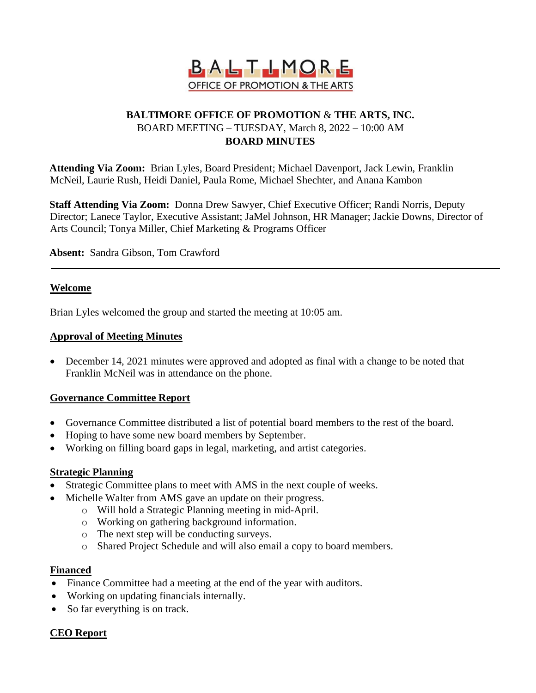

# **BALTIMORE OFFICE OF PROMOTION** & **THE ARTS, INC.** BOARD MEETING – TUESDAY, March 8, 2022 – 10:00 AM **BOARD MINUTES**

**Attending Via Zoom:** Brian Lyles, Board President; Michael Davenport, Jack Lewin, Franklin McNeil, Laurie Rush, Heidi Daniel, Paula Rome, Michael Shechter, and Anana Kambon

**Staff Attending Via Zoom:** Donna Drew Sawyer, Chief Executive Officer; Randi Norris, Deputy Director; Lanece Taylor, Executive Assistant; JaMel Johnson, HR Manager; Jackie Downs, Director of Arts Council; Tonya Miller, Chief Marketing & Programs Officer

**Absent:** Sandra Gibson, Tom Crawford

#### **Welcome**

Brian Lyles welcomed the group and started the meeting at 10:05 am.

#### **Approval of Meeting Minutes**

• December 14, 2021 minutes were approved and adopted as final with a change to be noted that Franklin McNeil was in attendance on the phone.

## **Governance Committee Report**

- Governance Committee distributed a list of potential board members to the rest of the board.
- Hoping to have some new board members by September.
- Working on filling board gaps in legal, marketing, and artist categories.

#### **Strategic Planning**

- Strategic Committee plans to meet with AMS in the next couple of weeks.
- Michelle Walter from AMS gave an update on their progress.
	- o Will hold a Strategic Planning meeting in mid-April.
	- o Working on gathering background information.
	- o The next step will be conducting surveys.
	- o Shared Project Schedule and will also email a copy to board members.

#### **Financed**

- Finance Committee had a meeting at the end of the year with auditors.
- Working on updating financials internally.
- So far everything is on track.

## **CEO Report**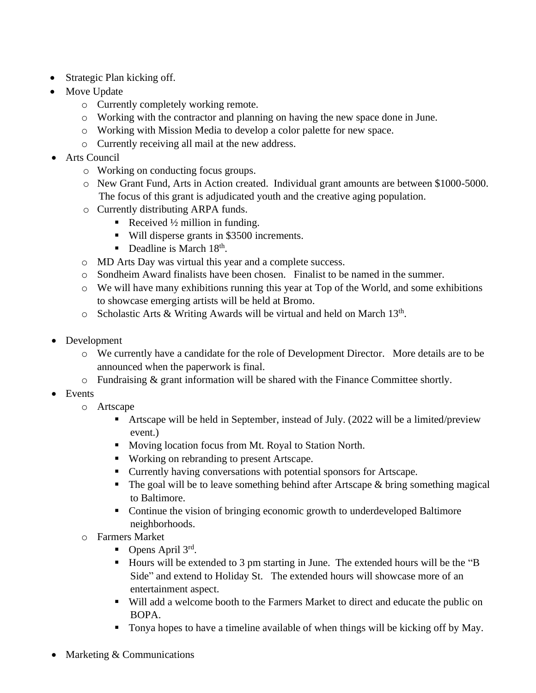- Strategic Plan kicking off.
- Move Update
	- o Currently completely working remote.
	- o Working with the contractor and planning on having the new space done in June.
	- o Working with Mission Media to develop a color palette for new space.
	- o Currently receiving all mail at the new address.
- Arts Council
	- o Working on conducting focus groups.
	- o New Grant Fund, Arts in Action created. Individual grant amounts are between \$1000-5000. The focus of this grant is adjudicated youth and the creative aging population.
	- o Currently distributing ARPA funds.
		- Received  $\frac{1}{2}$  million in funding.
		- Will disperse grants in \$3500 increments.
		- **•** Deadline is March  $18<sup>th</sup>$ .
	- o MD Arts Day was virtual this year and a complete success.
	- o Sondheim Award finalists have been chosen. Finalist to be named in the summer.
	- $\circ$  We will have many exhibitions running this year at Top of the World, and some exhibitions to showcase emerging artists will be held at Bromo.
	- $\circ$  Scholastic Arts & Writing Awards will be virtual and held on March 13<sup>th</sup>.
- Development
	- o We currently have a candidate for the role of Development Director. More details are to be announced when the paperwork is final.
	- o Fundraising & grant information will be shared with the Finance Committee shortly.
- Events
	- o Artscape
		- **Example 1** Artscape will be held in September, instead of July. (2022 will be a limited/preview event.)
		- Moving location focus from Mt. Royal to Station North.
		- Working on rebranding to present Artscape.
		- Currently having conversations with potential sponsors for Artscape.
		- $\blacksquare$  The goal will be to leave something behind after Artscape & bring something magical to Baltimore.
		- Continue the vision of bringing economic growth to underdeveloped Baltimore neighborhoods.
	- o Farmers Market
		- $\blacksquare$  Opens April 3rd.
		- Hours will be extended to 3 pm starting in June. The extended hours will be the "B Side" and extend to Holiday St. The extended hours will showcase more of an entertainment aspect.
		- Will add a welcome booth to the Farmers Market to direct and educate the public on BOPA.
		- Tonya hopes to have a timeline available of when things will be kicking off by May.
- Marketing & Communications